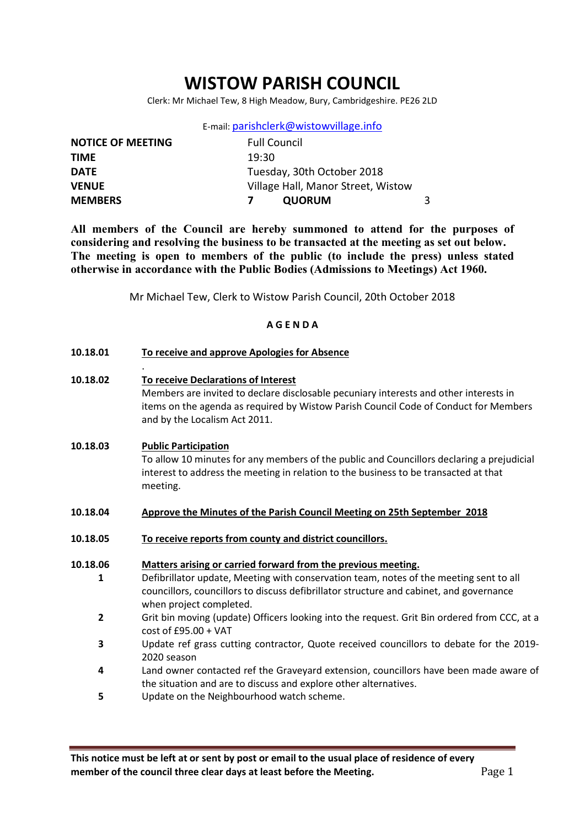# WISTOW PARISH COUNCIL

Clerk: Mr Michael Tew, 8 High Meadow, Bury, Cambridgeshire. PE26 2LD

|  | E-mail: parishclerk@wistowvillage.info |  |
|--|----------------------------------------|--|
|--|----------------------------------------|--|

| <b>NOTICE OF MEETING</b> | <b>Full Council</b>                |  |
|--------------------------|------------------------------------|--|
| <b>TIME</b>              | 19:30                              |  |
| <b>DATE</b>              | Tuesday, 30th October 2018         |  |
| <b>VENUE</b>             | Village Hall, Manor Street, Wistow |  |
| <b>MEMBERS</b>           | <b>QUORUM</b>                      |  |

All members of the Council are hereby summoned to attend for the purposes of considering and resolving the business to be transacted at the meeting as set out below. The meeting is open to members of the public (to include the press) unless stated otherwise in accordance with the Public Bodies (Admissions to Meetings) Act 1960.

Mr Michael Tew, Clerk to Wistow Parish Council, 20th October 2018

#### A G E N D A

| 10.18.01 | To receive and approve Apologies for Absence |  |  |
|----------|----------------------------------------------|--|--|
|          |                                              |  |  |

.

10.18.02 To receive Declarations of Interest Members are invited to declare disclosable pecuniary interests and other interests in items on the agenda as required by Wistow Parish Council Code of Conduct for Members and by the Localism Act 2011.

## 10.18.03 Public Participation To allow 10 minutes for any members of the public and Councillors declaring a prejudicial interest to address the meeting in relation to the business to be transacted at that meeting.

- 10.18.04 Approve the Minutes of the Parish Council Meeting on 25th September 2018
- 10.18.05 To receive reports from county and district councillors.

#### 10.18.06 Matters arising or carried forward from the previous meeting.

- 1 Defibrillator update, Meeting with conservation team, notes of the meeting sent to all councillors, councillors to discuss defibrillator structure and cabinet, and governance when project completed.
- 2 Grit bin moving (update) Officers looking into the request. Grit Bin ordered from CCC, at a cost of £95.00 + VAT
- 3 Update ref grass cutting contractor, Quote received councillors to debate for the 2019- 2020 season
- 4 Land owner contacted ref the Graveyard extension, councillors have been made aware of the situation and are to discuss and explore other alternatives.
- 5 Update on the Neighbourhood watch scheme.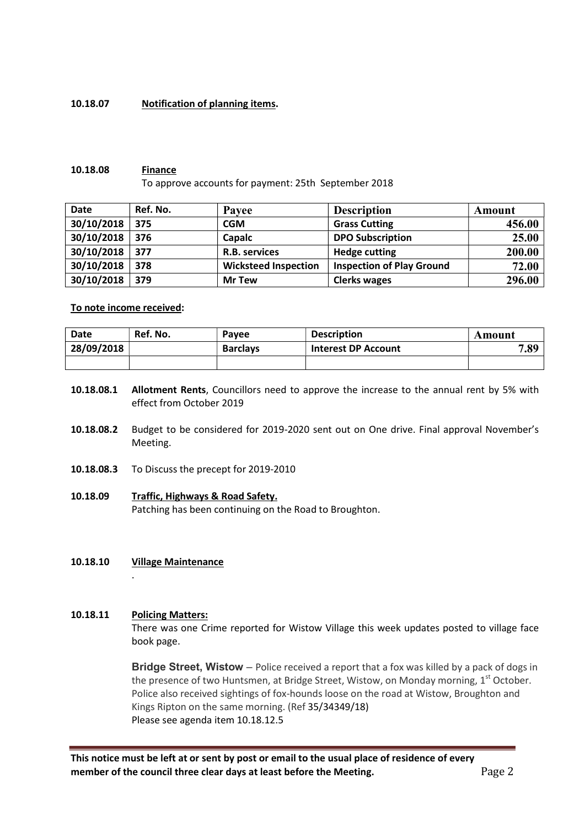## 10.18.07 Notification of planning items.

#### 10.18.08 Finance

To approve accounts for payment: 25th September 2018

| <b>Date</b> | Ref. No. | Payee                       | <b>Description</b>               | Amount |
|-------------|----------|-----------------------------|----------------------------------|--------|
| 30/10/2018  | 375      | CGM                         | <b>Grass Cutting</b>             | 456.00 |
| 30/10/2018  | 376      | Capalc                      | <b>DPO Subscription</b>          | 25.00  |
| 30/10/2018  | 377      | R.B. services               | <b>Hedge cutting</b>             | 200.00 |
| 30/10/2018  | 378      | <b>Wicksteed Inspection</b> | <b>Inspection of Play Ground</b> | 72.00  |
| 30/10/2018  | 379      | <b>Mr Tew</b>               | <b>Clerks wages</b>              | 296.00 |

### To note income received:

| Date       | Ref. No. | Pavee           | <b>Description</b>         | Amount |
|------------|----------|-----------------|----------------------------|--------|
| 28/09/2018 |          | <b>Barclays</b> | <b>Interest DP Account</b> | 7.89   |
|            |          |                 |                            |        |

- 10.18.08.1 Allotment Rents, Councillors need to approve the increase to the annual rent by 5% with effect from October 2019
- 10.18.08.2 Budget to be considered for 2019-2020 sent out on One drive. Final approval November's Meeting.
- 10.18.08.3 To Discuss the precept for 2019-2010
- 10.18.09 Traffic, Highways & Road Safety. Patching has been continuing on the Road to Broughton.
- 10.18.10 Village Maintenance

#### 10.18.11 Policing Matters:

.

There was one Crime reported for Wistow Village this week updates posted to village face book page.

Bridge Street, Wistow - Police received a report that a fox was killed by a pack of dogs in the presence of two Huntsmen, at Bridge Street, Wistow, on Monday morning, 1<sup>st</sup> October. Police also received sightings of fox-hounds loose on the road at Wistow, Broughton and Kings Ripton on the same morning. (Ref 35/34349/18) Please see agenda item 10.18.12.5